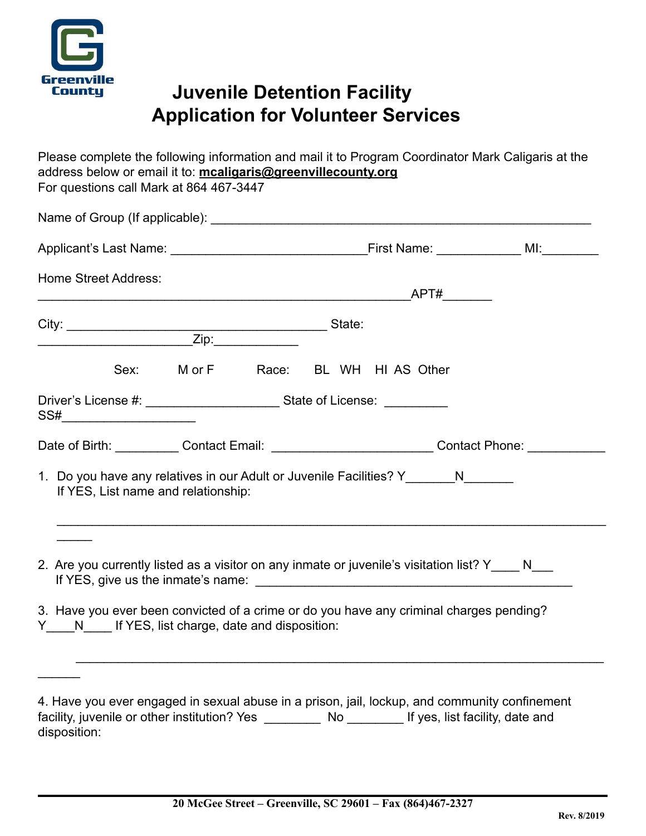

## **Juvenile Detention Facility Application for Volunteer Services**

Please complete the following information and mail it to Program Coordinator Mark Caligaris at the address below or email it to: **[mcaligaris@greenvillecounty.org](mailto:mcaligaris@greenvillecounty.org)** For questions call Mark at 864 467-3447

| <b>Home Street Address:</b>                                                                                                               |  |  |  |  |                                   |  |  |
|-------------------------------------------------------------------------------------------------------------------------------------------|--|--|--|--|-----------------------------------|--|--|
|                                                                                                                                           |  |  |  |  |                                   |  |  |
|                                                                                                                                           |  |  |  |  | Sex: MorF Race: BL WH HI AS Other |  |  |
| SS#__________________________                                                                                                             |  |  |  |  |                                   |  |  |
| Date of Birth: ____________Contact Email: ___________________________Contact Phone: ____________                                          |  |  |  |  |                                   |  |  |
| 1. Do you have any relatives in our Adult or Juvenile Facilities? Y_________ N________<br>If YES, List name and relationship:             |  |  |  |  |                                   |  |  |
| 2. Are you currently listed as a visitor on any inmate or juvenile's visitation list? Y____ N___                                          |  |  |  |  |                                   |  |  |
| 3. Have you ever been convicted of a crime or do you have any criminal charges pending?<br>Y N If YES, list charge, date and disposition: |  |  |  |  |                                   |  |  |
|                                                                                                                                           |  |  |  |  |                                   |  |  |

| 4. Have you ever engaged in sexual abuse in a prison, jail, lockup, and community confinement |     |                                 |
|-----------------------------------------------------------------------------------------------|-----|---------------------------------|
| facility, juvenile or other institution? Yes                                                  | No. | If yes, list facility, date and |
| disposition:                                                                                  |     |                                 |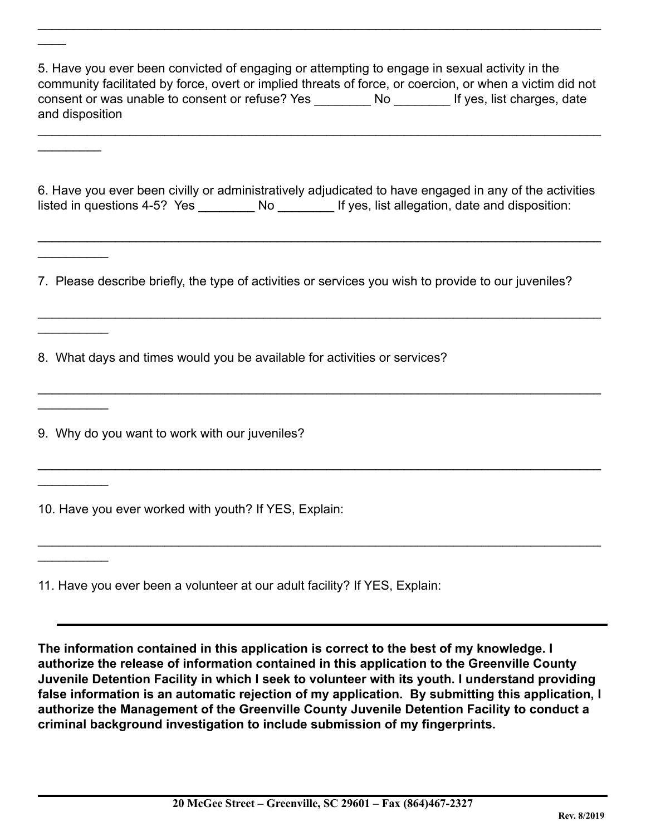5. Have you ever been convicted of engaging or attempting to engage in sexual activity in the community facilitated by force, overt or implied threats of force, or coercion, or when a victim did not consent or was unable to consent or refuse? Yes Mo The Mess, list charges, date and disposition

 $\_$ 

\_\_\_\_\_\_\_\_\_\_\_\_\_\_\_\_\_\_\_\_\_\_\_\_\_\_\_\_\_\_\_\_\_\_\_\_\_\_\_\_\_\_\_\_\_\_\_\_\_\_\_\_\_\_\_\_\_\_\_\_\_\_\_\_\_\_\_\_\_\_\_\_\_\_\_\_\_\_\_\_

6. Have you ever been civilly or administratively adjudicated to have engaged in any of the activities listed in questions 4-5? Yes \_\_\_\_\_\_\_\_\_ No \_\_\_\_\_\_\_\_\_ If yes, list allegation, date and disposition:

 $\_$ 

 $\_$ 

 $\_$ 

 $\_$ 

 $\_$ 

7. Please describe briefly, the type of activities or services you wish to provide to our juveniles?

8. What days and times would you be available for activities or services?

9. Why do you want to work with our juveniles?

 $\mathcal{L}$ 

 $\frac{1}{2}$ 

 $\frac{1}{2}$ 

 $\frac{1}{2}$ 

 $\frac{1}{2}$ 

 $\frac{1}{2}$ 

 $\frac{1}{2}$ 

10. Have you ever worked with youth? If YES, Explain:

11. Have you ever been a volunteer at our adult facility? If YES, Explain:

**The information contained in this application is correct to the best of my knowledge. I authorize the release of information contained in this application to the Greenville County Juvenile Detention Facility in which I seek to volunteer with its youth. I understand providing false information is an automatic rejection of my application***.* **By submitting this application, I authorize the Management of the Greenville County Juvenile Detention Facility to conduct a criminal background investigation to include submission of my fingerprints.**